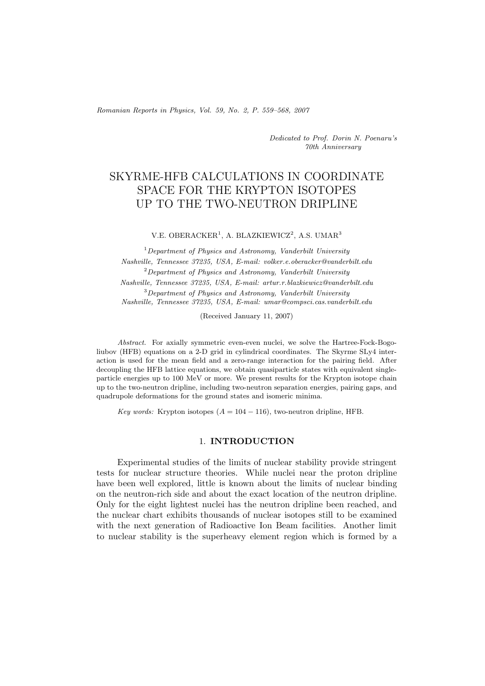*Romanian Reports in Physics, Vol. 59, No. 2, P. 559–568, 2007*

*Dedicated to Prof. Dorin N. Poenaru's 70th Anniversary*

# SKYRME-HFB CALCULATIONS IN COORDINATE SPACE FOR THE KRYPTON ISOTOPES UP TO THE TWO-NEUTRON DRIPLINE

V.E. OBERACKER<sup>1</sup>, A. BLAZKIEWICZ<sup>2</sup>, A.S. UMAR<sup>3</sup>

<sup>1</sup>*Department of Physics and Astronomy, Vanderbilt University Nashville, Tennessee 37235, USA, E-mail: volker.e.oberacker@vanderbilt.edu* <sup>2</sup>*Department of Physics and Astronomy, Vanderbilt University Nashville, Tennessee 37235, USA, E-mail: artur.r.blazkiewicz@vanderbilt.edu* <sup>3</sup>*Department of Physics and Astronomy, Vanderbilt University Nashville, Tennessee 37235, USA, E-mail: umar@compsci.cas.vanderbilt.edu*

(Received January 11, 2007)

*Abstract.* For axially symmetric even-even nuclei, we solve the Hartree-Fock-Bogoliubov (HFB) equations on a 2-D grid in cylindrical coordinates. The Skyrme SLy4 interaction is used for the mean field and a zero-range interaction for the pairing field. After decoupling the HFB lattice equations, we obtain quasiparticle states with equivalent singleparticle energies up to 100 MeV or more. We present results for the Krypton isotope chain up to the two-neutron dripline, including two-neutron separation energies, pairing gaps, and quadrupole deformations for the ground states and isomeric minima.

*Key words:* Krypton isotopes  $(A = 104 - 116)$ , two-neutron dripline, HFB.

## 1. **INTRODUCTION**

Experimental studies of the limits of nuclear stability provide stringent tests for nuclear structure theories. While nuclei near the proton dripline have been well explored, little is known about the limits of nuclear binding on the neutron-rich side and about the exact location of the neutron dripline. Only for the eight lightest nuclei has the neutron dripline been reached, and the nuclear chart exhibits thousands of nuclear isotopes still to be examined with the next generation of Radioactive Ion Beam facilities. Another limit to nuclear stability is the superheavy element region which is formed by a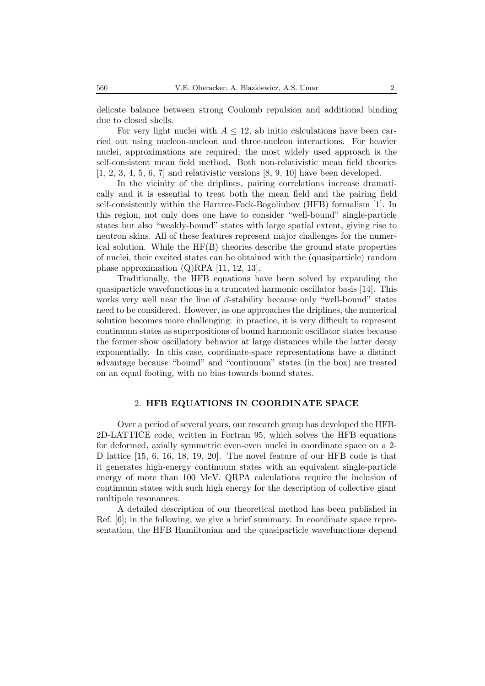delicate balance between strong Coulomb repulsion and additional binding due to closed shells.

For very light nuclei with  $A \leq 12$ , ab initio calculations have been carried out using nucleon-nucleon and three-nucleon interactions. For heavier nuclei, approximations are required; the most widely used approach is the self-consistent mean field method. Both non-relativistic mean field theories  $[1, 2, 3, 4, 5, 6, 7]$  and relativistic versions  $[8, 9, 10]$  have been developed.

In the vicinity of the driplines, pairing correlations increase dramatically and it is essential to treat both the mean field and the pairing field self-consistently within the Hartree-Fock-Bogoliubov (HFB) formalism [1]. In this region, not only does one have to consider "well-bound" single-particle states but also "weakly-bound" states with large spatial extent, giving rise to neutron skins. All of these features represent major challenges for the numerical solution. While the  $HF(B)$  theories describe the ground state properties of nuclei, their excited states can be obtained with the (quasiparticle) random phase approximation (Q)RPA [11, 12, 13].

Traditionally, the HFB equations have been solved by expanding the quasiparticle wavefunctions in a truncated harmonic oscillator basis [14]. This works very well near the line of  $\beta$ -stability because only "well-bound" states need to be considered. However, as one approaches the driplines, the numerical solution becomes more challenging: in practice, it is very difficult to represent continuum states as superpositions of bound harmonic oscillator states because the former show oscillatory behavior at large distances while the latter decay exponentially. In this case, coordinate-space representations have a distinct advantage because "bound" and "continuum" states (in the box) are treated on an equal footing, with no bias towards bound states.

# 2. **HFB EQUATIONS IN COORDINATE SPACE**

Over a period of several years, our research group has developed the HFB-2D-LATTICE code, written in Fortran 95, which solves the HFB equations for deformed, axially symmetric even-even nuclei in coordinate space on a 2- D lattice [15, 6, 16, 18, 19, 20]. The novel feature of our HFB code is that it generates high-energy continuum states with an equivalent single-particle energy of more than 100 MeV. QRPA calculations require the inclusion of continuum states with such high energy for the description of collective giant multipole resonances.

A detailed description of our theoretical method has been published in Ref. [6]; in the following, we give a brief summary. In coordinate space representation, the HFB Hamiltonian and the quasiparticle wavefunctions depend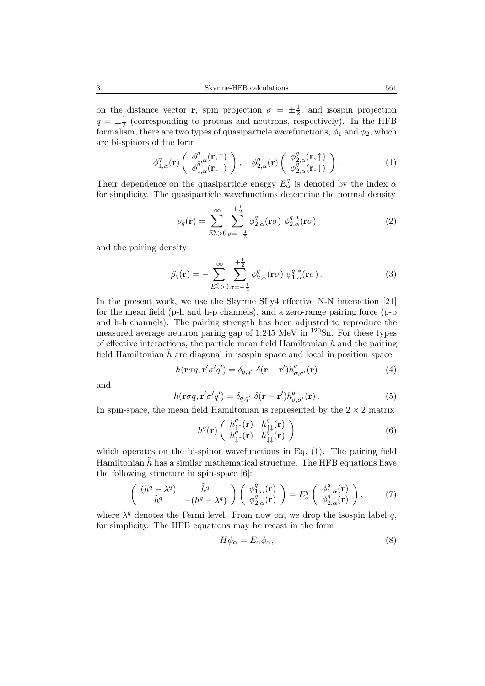on the distance vector **r**, spin projection  $\sigma = \pm \frac{1}{2}$ , and isospin projection  $q = \pm \frac{1}{2}$  (corresponding to protons and neutrons, respectively). In the HFB formalism, there are two types of quasiparticle wavefunctions,  $\phi_1$  and  $\phi_2$ , which are bi-spinors of the form

$$
\phi_{1,\alpha}^q(\mathbf{r})\begin{pmatrix} \phi_{1,\alpha}^q(\mathbf{r},\uparrow) \\ \phi_{1,\alpha}^q(\mathbf{r},\downarrow) \end{pmatrix}, \quad \phi_{2,\alpha}^q(\mathbf{r})\begin{pmatrix} \phi_{2,\alpha}^q(\mathbf{r},\uparrow) \\ \phi_{2,\alpha}^q(\mathbf{r},\downarrow) \end{pmatrix}.
$$
 (1)

Their dependence on the quasiparticle energy  $E_{\alpha}^{q}$  is denoted by the index  $\alpha$ for simplicity. The quasiparticle wavefunctions determine the normal density

$$
\rho_q(\mathbf{r}) = \sum_{E_\alpha^q > 0}^{\infty} \sum_{\sigma = -\frac{1}{2}}^{\frac{1}{2}} \phi_{2,\alpha}^q(\mathbf{r}\sigma) \phi_{2,\alpha}^{q \,*}(\mathbf{r}\sigma)
$$
(2)

and the pairing density

$$
\tilde{\rho}_q(\mathbf{r}) = -\sum_{E_\alpha^q > 0}^{\infty} \sum_{\sigma = -\frac{1}{2}}^{+\frac{1}{2}} \phi_{2,\alpha}^q(\mathbf{r}\sigma) \phi_{1,\alpha}^q(\mathbf{r}\sigma).
$$
\n(3)

In the present work, we use the Skyrme SLy4 effective N-N interaction [21] for the mean field (p-h and h-p channels), and a zero-range pairing force (p-p and h-h channels). The pairing strength has been adjusted to reproduce the measured average neutron paring gap of  $1.245 \text{ MeV}$  in  $120 \text{Sn}$ . For these types of effective interactions, the particle mean field Hamiltonian  $h$  and the pairing field Hamiltonian  $\tilde{h}$  are diagonal in isospin space and local in position space

$$
h(\mathbf{r}\sigma q, \mathbf{r}'\sigma'q') = \delta_{q,q'} \delta(\mathbf{r} - \mathbf{r}')h_{\sigma,\sigma'}^q(\mathbf{r})
$$
\n(4)

and

$$
\tilde{h}(\mathbf{r}\sigma q, \mathbf{r}'\sigma'q') = \delta_{q,q'} \delta(\mathbf{r} - \mathbf{r}')\tilde{h}^q_{\sigma,\sigma'}(\mathbf{r}).
$$
\n(5)

In spin-space, the mean field Hamiltonian is represented by the  $2 \times 2$  matrix

$$
h^{q}(\mathbf{r})\left(\begin{array}{cc}h^{q}_{\uparrow\uparrow}(\mathbf{r}) & h^{q}_{\uparrow\downarrow}(\mathbf{r})\\h^{q}_{\downarrow\uparrow}(\mathbf{r}) & h^{q}_{\downarrow\downarrow}(\mathbf{r})\end{array}\right) \tag{6}
$$

which operates on the bi-spinor wavefunctions in Eq. (1). The pairing field Hamiltonian  $\tilde{h}$  has a similar mathematical structure. The HFB equations have the following structure in spin-space [6]:

$$
\begin{pmatrix}\n(h^q - \lambda^q) & \tilde{h}^q \\
\tilde{h}^q & -(h^q - \lambda^q)\n\end{pmatrix}\n\begin{pmatrix}\n\phi_{1,\alpha}^q(\mathbf{r}) \\
\phi_{2,\alpha}^q(\mathbf{r})\n\end{pmatrix} = E_\alpha^q \begin{pmatrix}\n\phi_{1,\alpha}^q(\mathbf{r}) \\
\phi_{2,\alpha}^q(\mathbf{r})\n\end{pmatrix},
$$
\n(7)

where  $\lambda^q$  denotes the Fermi level. From now on, we drop the isospin label q, for simplicity. The HFB equations may be recast in the form

$$
H\phi_{\alpha} = E_{\alpha}\phi_{\alpha},\tag{8}
$$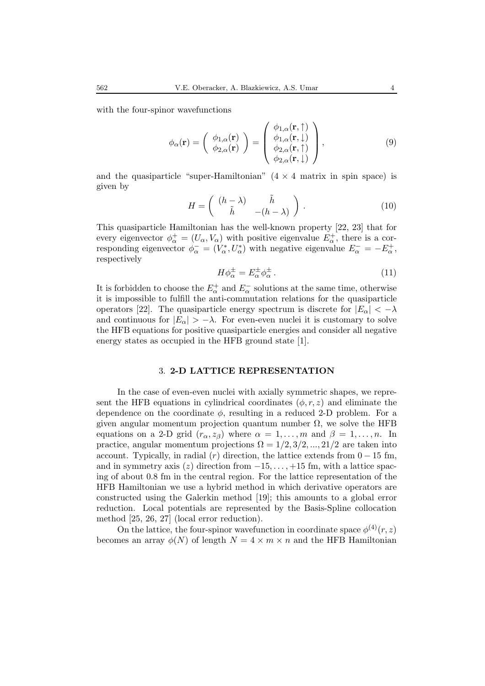with the four-spinor wavefunctions

$$
\phi_{\alpha}(\mathbf{r}) = \begin{pmatrix} \phi_{1,\alpha}(\mathbf{r}) \\ \phi_{2,\alpha}(\mathbf{r}) \end{pmatrix} = \begin{pmatrix} \phi_{1,\alpha}(\mathbf{r},\uparrow) \\ \phi_{1,\alpha}(\mathbf{r},\downarrow) \\ \phi_{2,\alpha}(\mathbf{r},\uparrow) \\ \phi_{2,\alpha}(\mathbf{r},\downarrow) \end{pmatrix},
$$
\n(9)

and the quasiparticle "super-Hamiltonian"  $(4 \times 4$  matrix in spin space) is given by

$$
H = \begin{pmatrix} (h - \lambda) & \tilde{h} \\ \tilde{h} & -(h - \lambda) \end{pmatrix} . \tag{10}
$$

This quasiparticle Hamiltonian has the well-known property [22, 23] that for every eigenvector  $\phi_{\alpha}^+ = (U_{\alpha}, V_{\alpha})$  with positive eigenvalue  $E_{\alpha}^+$ , there is a corresponding eigenvector  $\phi_{\alpha}^- = (V_{\alpha}^*, U_{\alpha}^*)$  with negative eigenvalue  $E_{\alpha}^- = -E_{\alpha}^+$ , respectively

$$
H\phi_{\alpha}^{\pm} = E_{\alpha}^{\pm}\phi_{\alpha}^{\pm} \,. \tag{11}
$$

It is forbidden to choose the  $E_{\alpha}^{+}$  and  $E_{\alpha}^{-}$  solutions at the same time, otherwise it is impossible to fulfill the anti-commutation relations for the quasiparticle operators [22]. The quasiparticle energy spectrum is discrete for  $|E_{\alpha}| < -\lambda$ and continuous for  $|E_{\alpha}| > -\lambda$ . For even-even nuclei it is customary to solve the HFB equations for positive quasiparticle energies and consider all negative energy states as occupied in the HFB ground state [1].

# 3. **2-D LATTICE REPRESENTATION**

In the case of even-even nuclei with axially symmetric shapes, we represent the HFB equations in cylindrical coordinates  $(\phi, r, z)$  and eliminate the dependence on the coordinate  $\phi$ , resulting in a reduced 2-D problem. For a given angular momentum projection quantum number  $\Omega$ , we solve the HFB equations on a 2-D grid  $(r_{\alpha}, z_{\beta})$  where  $\alpha = 1, \ldots, m$  and  $\beta = 1, \ldots, n$ . In practice, angular momentum projections  $\Omega = 1/2, 3/2, ..., 21/2$  are taken into account. Typically, in radial  $(r)$  direction, the lattice extends from  $0 - 15$  fm, and in symmetry axis  $(z)$  direction from  $-15, \ldots, +15$  fm, with a lattice spacing of about 0.8 fm in the central region. For the lattice representation of the HFB Hamiltonian we use a hybrid method in which derivative operators are constructed using the Galerkin method [19]; this amounts to a global error reduction. Local potentials are represented by the Basis-Spline collocation method [25, 26, 27] (local error reduction).

On the lattice, the four-spinor wavefunction in coordinate space  $\phi^{(4)}(r, z)$ becomes an array  $\phi(N)$  of length  $N = 4 \times m \times n$  and the HFB Hamiltonian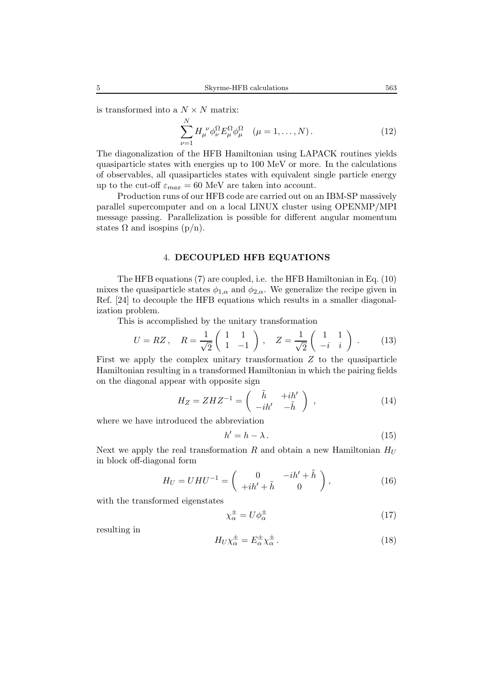is transformed into a  $N \times N$  matrix:

$$
\sum_{\nu=1}^{N} H_{\mu}^{\ \nu} \phi_{\nu}^{\Omega} E_{\mu}^{\Omega} \phi_{\mu}^{\Omega} \quad (\mu = 1, \dots, N). \tag{12}
$$

The diagonalization of the HFB Hamiltonian using LAPACK routines yields quasiparticle states with energies up to 100 MeV or more. In the calculations of observables, all quasiparticles states with equivalent single particle energy up to the cut-off  $\varepsilon_{max} = 60$  MeV are taken into account.

Production runs of our HFB code are carried out on an IBM-SP massively parallel supercomputer and on a local LINUX cluster using OPENMP/MPI message passing. Parallelization is possible for different angular momentum states  $\Omega$  and isospins (p/n).

### 4. **DECOUPLED HFB EQUATIONS**

The HFB equations (7) are coupled, i.e. the HFB Hamiltonian in Eq. (10) mixes the quasiparticle states  $\phi_{1,\alpha}$  and  $\phi_{2,\alpha}$ . We generalize the recipe given in Ref. [24] to decouple the HFB equations which results in a smaller diagonalization problem.

This is accomplished by the unitary transformation

$$
U = RZ, \quad R = \frac{1}{\sqrt{2}} \begin{pmatrix} 1 & 1 \\ 1 & -1 \end{pmatrix}, \quad Z = \frac{1}{\sqrt{2}} \begin{pmatrix} 1 & 1 \\ -i & i \end{pmatrix}.
$$
 (13)

First we apply the complex unitary transformation  $Z$  to the quasiparticle Hamiltonian resulting in a transformed Hamiltonian in which the pairing fields on the diagonal appear with opposite sign

$$
H_Z = Z H Z^{-1} = \begin{pmatrix} \tilde{h} & +i h' \\ -i h' & -\tilde{h} \end{pmatrix} , \qquad (14)
$$

where we have introduced the abbreviation

$$
h'=h-\lambda.\tag{15}
$$

Next we apply the real transformation R and obtain a new Hamiltonian  $H_U$ in block off-diagonal form

$$
H_U = UHU^{-1} = \begin{pmatrix} 0 & -ih' + \tilde{h} \\ +ih' + \tilde{h} & 0 \end{pmatrix},
$$
 (16)

with the transformed eigenstates

$$
\chi_{\alpha}^{\pm} = U \phi_{\alpha}^{\pm} \tag{17}
$$

resulting in

$$
H_U \chi_\alpha^{\pm} = E_\alpha^{\pm} \chi_\alpha^{\pm} \,. \tag{18}
$$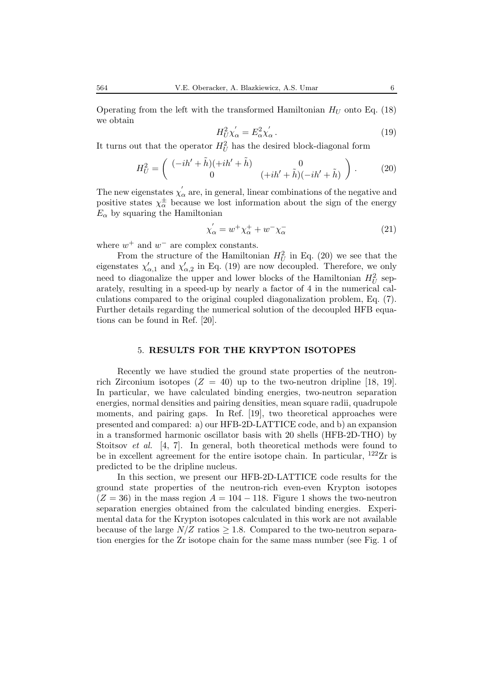$$
H_U^2 \chi_\alpha' = E_\alpha^2 \chi_\alpha' \,. \tag{19}
$$

It turns out that the operator  $H_U^2$  has the desired block-diagonal form

$$
H_U^2 = \begin{pmatrix} (-ih' + \tilde{h})(+ih' + \tilde{h}) & 0\\ 0 & (+ih' + \tilde{h})(-ih' + \tilde{h}) \end{pmatrix}.
$$
 (20)

The new eigenstates  $\chi'_{\alpha}$  are, in general, linear combinations of the negative and positive states  $\chi^{\pm}_{\alpha}$  because we lost information about the sign of the energy  $E_{\alpha}$  by squaring the Hamiltonian

$$
\chi_{\alpha}^{'} = w^{+} \chi_{\alpha}^{+} + w^{-} \chi_{\alpha}^{-} \tag{21}
$$

where  $w^+$  and  $w^-$  are complex constants.

From the structure of the Hamiltonian  $H_U^2$  in Eq. (20) we see that the eigenstates  $\chi'_{\alpha,1}$  and  $\chi'_{\alpha,2}$  in Eq. (19) are now decoupled. Therefore, we only need to diagonalize the upper and lower blocks of the Hamiltonian  $H_U^2$  separately, resulting in a speed-up by nearly a factor of 4 in the numerical calculations compared to the original coupled diagonalization problem, Eq. (7). Further details regarding the numerical solution of the decoupled HFB equations can be found in Ref. [20].

### 5. **RESULTS FOR THE KRYPTON ISOTOPES**

Recently we have studied the ground state properties of the neutronrich Zirconium isotopes ( $Z = 40$ ) up to the two-neutron dripline [18, 19]. In particular, we have calculated binding energies, two-neutron separation energies, normal densities and pairing densities, mean square radii, quadrupole moments, and pairing gaps. In Ref. [19], two theoretical approaches were presented and compared: a) our HFB-2D-LATTICE code, and b) an expansion in a transformed harmonic oscillator basis with 20 shells (HFB-2D-THO) by Stoitsov *et al.* [4, 7]. In general, both theoretical methods were found to be in excellent agreement for the entire isotope chain. In particular,  $^{122}Zr$  is predicted to be the dripline nucleus.

In this section, we present our HFB-2D-LATTICE code results for the ground state properties of the neutron-rich even-even Krypton isotopes  $(Z = 36)$  in the mass region  $A = 104 - 118$ . Figure 1 shows the two-neutron separation energies obtained from the calculated binding energies. Experimental data for the Krypton isotopes calculated in this work are not available because of the large  $N/Z$  ratios  $\geq 1.8$ . Compared to the two-neutron separation energies for the Zr isotope chain for the same mass number (see Fig. 1 of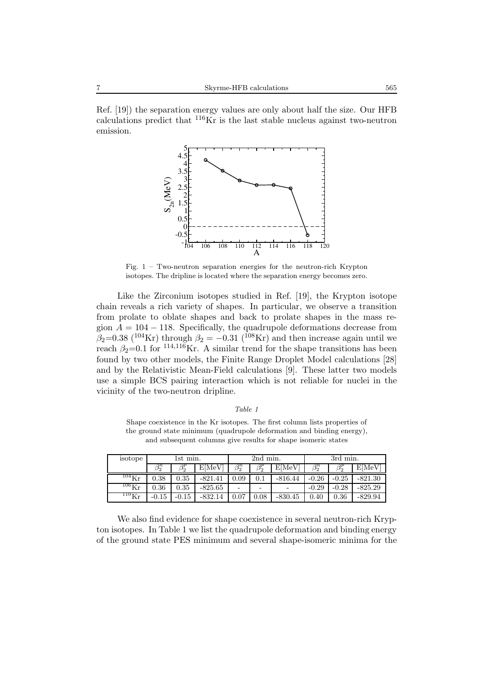Ref. [19]) the separation energy values are only about half the size. Our HFB calculations predict that  $116$ Kr is the last stable nucleus against two-neutron emission.



Fig.  $1 - Two-neutron separation energies for the neutron-rich Krypton$ isotopes. The dripline is located where the separation energy becomes zero.

Like the Zirconium isotopes studied in Ref. [19], the Krypton isotope chain reveals a rich variety of shapes. In particular, we observe a transition from prolate to oblate shapes and back to prolate shapes in the mass region  $A = 104 - 118$ . Specifically, the quadrupole deformations decrease from  $\beta_2=0.38$  (<sup>104</sup>Kr) through  $\beta_2=-0.31$  (<sup>108</sup>Kr) and then increase again until we reach  $\beta_2=0.1$  for  $^{114,116}$ Kr. A similar trend for the shape transitions has been found by two other models, the Finite Range Droplet Model calculations [28] and by the Relativistic Mean-Field calculations [9]. These latter two models use a simple BCS pairing interaction which is not reliable for nuclei in the vicinity of the two-neutron dripline.

| Table |  |
|-------|--|
|-------|--|

Shape coexistence in the Kr isotopes. The first column lists properties of the ground state minimum (quadrupole deformation and binding energy), and subsequent columns give results for shape isomeric states

| isotope             | 1st min.    |             |           | 2nd min.    |             |                          | 3rd min.    |             |           |
|---------------------|-------------|-------------|-----------|-------------|-------------|--------------------------|-------------|-------------|-----------|
|                     | $\beta_2^n$ | $\beta_2^p$ | E[MeV]    | $\beta_2^n$ | $\beta_2^p$ | E[MeV]                   | $\beta_2^n$ | $\beta_2^p$ | E[MeV]    |
| $^{104}\mathrm{Kr}$ | 0.38        | $0.35\,$    | $-821.41$ | 0.09        | 0.1         | $-816.44$                | $-0.26$     | $-0.25$     | $-821.30$ |
| $^{106}\mathrm{Kr}$ | $0.36\,$    | $0.35\,$    | $-825.65$ | -           | -           | $\overline{\phantom{a}}$ | $-0.29$     | $-0.28$     | $-825.29$ |
| $\rm ^{110}Kr$      | $-0.15$     | $-0.15$     | $-832.14$ | 0.07        | $0.08\,$    | $-830.45$                | 0.40        | 0.36        | $-829.94$ |

We also find evidence for shape coexistence in several neutron-rich Krypton isotopes. In Table 1 we list the quadrupole deformation and binding energy of the ground state PES minimum and several shape-isomeric minima for the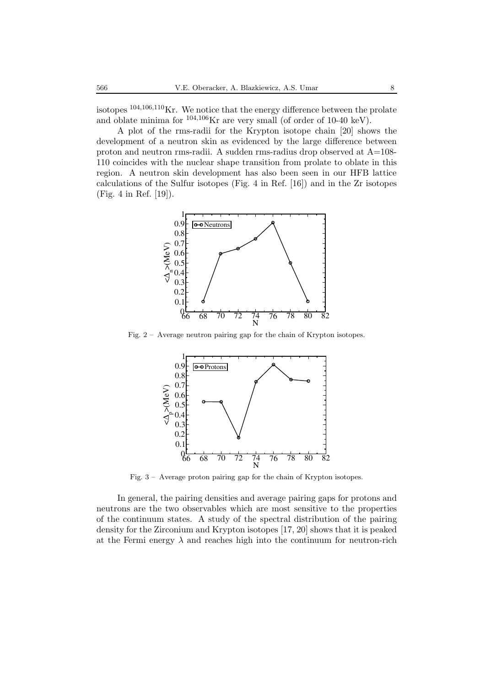isotopes  $104,106,110$ Kr. We notice that the energy difference between the prolate and oblate minima for  $104,106$ Kr are very small (of order of 10-40 keV).

A plot of the rms-radii for the Krypton isotope chain [20] shows the development of a neutron skin as evidenced by the large difference between proton and neutron rms-radii. A sudden rms-radius drop observed at  $A=108$ -110 coincides with the nuclear shape transition from prolate to oblate in this region. A neutron skin development has also been seen in our HFB lattice calculations of the Sulfur isotopes (Fig. 4 in Ref. [16]) and in the Zr isotopes (Fig. 4 in Ref. [19]).



Fig. 2 – Average neutron pairing gap for the chain of Krypton isotopes.



Fig. 3 – Average proton pairing gap for the chain of Krypton isotopes.

In general, the pairing densities and average pairing gaps for protons and neutrons are the two observables which are most sensitive to the properties of the continuum states. A study of the spectral distribution of the pairing density for the Zirconium and Krypton isotopes [17, 20] shows that it is peaked at the Fermi energy  $\lambda$  and reaches high into the continuum for neutron-rich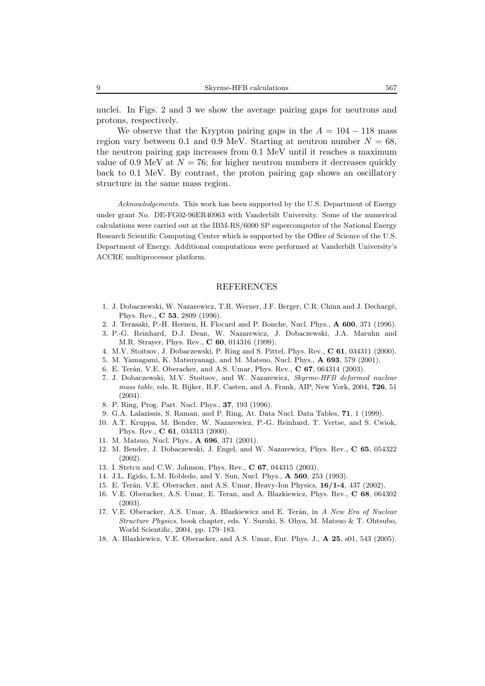nuclei. In Figs. 2 and 3 we show the average pairing gaps for neutrons and protons, respectively.

We observe that the Krypton pairing gaps in the  $A = 104 - 118$  mass region vary between 0.1 and 0.9 MeV. Starting at neutron number  $N = 68$ , the neutron pairing gap increases from 0.1 MeV until it reaches a maximum value of 0.9 MeV at  $N = 76$ ; for higher neutron numbers it decreases quickly back to 0.1 MeV. By contrast, the proton pairing gap shows an oscillatory structure in the same mass region.

*Acknowledgements.* This work has been supported by the U.S. Department of Energy under grant No. DE-FG02-96ER40963 with Vanderbilt University. Some of the numerical calculations were carried out at the IBM-RS/6000 SP supercomputer of the National Energy Research Scientific Computing Center which is supported by the Office of Science of the U.S. Department of Energy. Additional computations were performed at Vanderbilt University's ACCRE multiprocessor platform.

#### REFERENCES

- 1. J. Dobaczewski, W. Nazarewicz, T.R. Werner, J.F. Berger, C.R. Chinn and J. Decharg´e, Phys. Rev., **C 53**, 2809 (1996).
- 2. J. Terasaki, P.-H. Heenen, H. Flocard and P. Bonche, Nucl. Phys., **A 600**, 371 (1996).
- 3. P.-G. Reinhard, D.J. Dean, W. Nazarewicz, J. Dobaczewski, J.A. Maruhn and M.R. Strayer, Phys. Rev., **C 60**, 014316 (1999).
- 4. M.V. Stoitsov, J. Dobaczewski, P. Ring and S. Pittel, Phys. Rev., **C 61**, 034311 (2000).
- 5. M. Yamagami, K. Matsuyanagi, and M. Matsuo, Nucl. Phys., **A 693**, 579 (2001).
- 6. E. Ter´an, V.E. Oberacker, and A.S. Umar, Phys. Rev., **C 67**, 064314 (2003).
- 7. J. Dobaczewski, M.V. Stoitsov, and W. Nazarewicz, *Skyrme-HFB deformed nuclear mass table*, eds. R. Bijker, R.F. Casten, and A. Frank, AIP, New York, 2004, **726**, 51 (2004).
- 8. P. Ring, Prog. Part. Nucl. Phys., **37**, 193 (1996).
- 9. G.A. Lalazissis, S. Raman, and P. Ring, At. Data Nucl. Data Tables, **71**, 1 (1999).
- 10. A.T. Kruppa, M. Bender, W. Nazarewicz, P.-G. Reinhard, T. Vertse, and S. Cwiok, Phys. Rev., **C 61**, 034313 (2000).
- 11. M. Matsuo, Nucl. Phys., **A 696**, 371 (2001).
- 12. M. Bender, J. Dobaczewski, J. Engel, and W. Nazarewicz, Phys. Rev., **C 65**, 054322 (2002).
- 13. I. Stetcu and C.W. Johnson, Phys. Rev., **C 67**, 044315 (2003).
- 14. J.L. Egido, L.M. Robledo, and Y. Sun, Nucl. Phys., **A 560**, 253 (1993).
- 15. E. Terán, V.E. Oberacker, and A.S. Umar, Heavy-Ion Physics,  $16/1-4$ , 437 (2002).
- 16. V.E. Oberacker, A.S. Umar, E. Teran, and A. Blazkiewicz, Phys. Rev., **C 68**, 064302 (2003).
- 17. V.E. Oberacker, A.S. Umar, A. Blazkiewicz and E. Ter´an, in *A New Era of Nuclear Structure Physics*, book chapter, eds. Y. Suzuki, S. Ohya, M. Matsuo & T. Ohtsubo, World Scientific, 2004, pp. 179–183.
- 18. A. Blazkiewicz, V.E. Oberacker, and A.S. Umar, Eur. Phys. J., **A 25**, s01, 543 (2005).